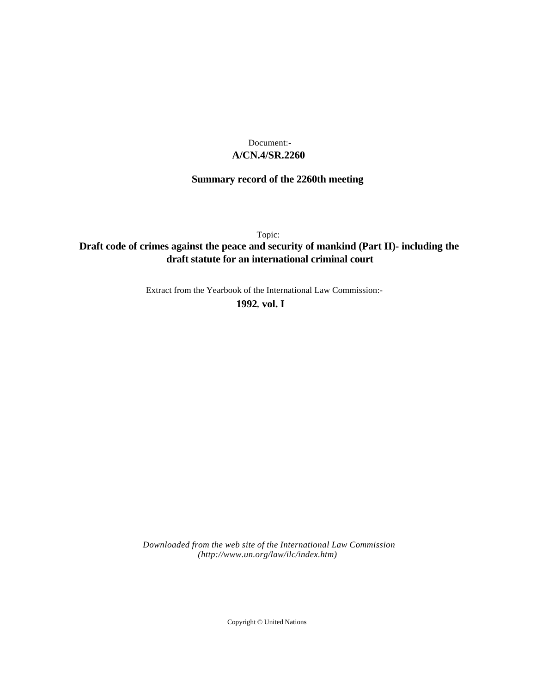## **A/CN.4/SR.2260** Document:-

# **Summary record of the 2260th meeting**

Topic:

## **Draft code of crimes against the peace and security of mankind (Part II)- including the draft statute for an international criminal court**

Extract from the Yearbook of the International Law Commission:-

**1992** , **vol. I**

*Downloaded from the web site of the International Law Commission (http://www.un.org/law/ilc/index.htm)*

Copyright © United Nations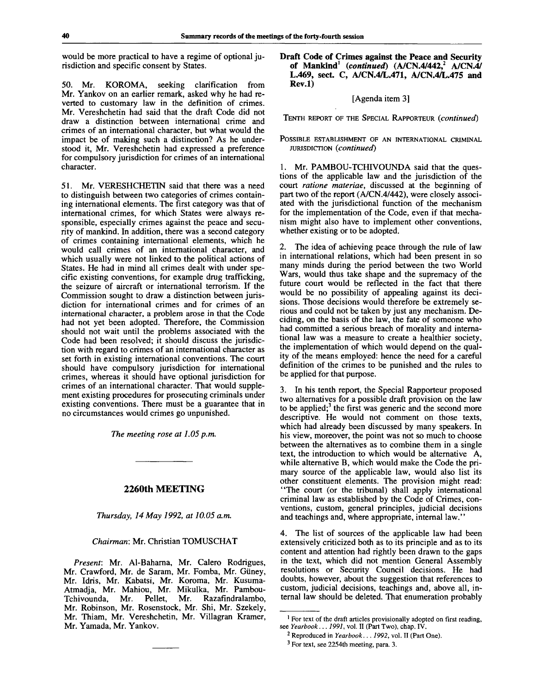would be more practical to have a regime of optional jurisdiction and specific consent by States.

50. Mr. KOROMA, seeking clarification from Mr. Yankov on an earlier remark, asked why he had reverted to customary law in the definition of crimes. Mr. Vereshchetin had said that the draft Code did not draw a distinction between international crime and crimes of an international character, but what would the impact be of making such a distinction? As he understood it, Mr. Vereshchetin had expressed a preference for compulsory jurisdiction for crimes of an international character.

51. Mr. VERESHCHETIN said that there was a need to distinguish between two categories of crimes containing international elements. The first category was that of international crimes, for which States were always responsible, especially crimes against the peace and security of mankind. In addition, there was a second category of crimes containing international elements, which he would call crimes of an international character, and which usually were not linked to the political actions of States. He had in mind all crimes dealt with under specific existing conventions, for example drug trafficking, the seizure of aircraft or international terrorism. If the Commission sought to draw a distinction between jurisdiction for international crimes and for crimes of an international character, a problem arose in that the Code had not yet been adopted. Therefore, the Commission should not wait until the problems associated with the Code had been resolved; it should discuss the jurisdiction with regard to crimes of an international character as set forth in existing international conventions. The court should have compulsory jurisdiction for international crimes, whereas it should have optional jurisdiction for crimes of an international character. That would supplement existing procedures for prosecuting criminals under existing conventions. There must be a guarantee that in no circumstances would crimes go unpunished.

*The meeting rose at 1.05 p.m.*

## **2260th MEETING**

*Thursday, 14 May 1992, at 10.05 a.m.*

## *Chairman:* Mr. Christian TOMUSCHAT

*Present:* Mr. Al-Baharna, Mr. Calero Rodrigues, Mr. Crawford, Mr. de Saram, Mr. Fomba, Mr. Giiney, Mr. Idris, Mr. Kabatsi, Mr. Koroma, Mr. Kusuma-Atmadja, Mr. Mahiou, Mr. Mikulka, Mr. Pambou-Tchivounda, Mr. Pellet, Mr. Razafindralambo, Mr. Robinson, Mr. Rosenstock, Mr. Shi, Mr. Szekely, Mr. Thiam, Mr. Vereshchetin, Mr. Villagran Kramer, Mr. Yamada, Mr. Yankov.

**Draft Code of Crimes against the Peace and Security of Mankind<sup>1</sup>**  *(continued)* **(A/CN.4/442,<sup>2</sup> A/CN.4/ L.469, sect. C, A/CN.4/L.471, A/CN.4/L.475 and Rev.l)**

## [Agenda item 3]

TENTH REPORT OF THE SPECIAL RAPPORTEUR *{continued)*

### POSSIBLE ESTABLISHMENT OF AN INTERNATIONAL CRIMINAL JURISDICTION *(continued)*

1. Mr. PAMBOU-TCHIVOUNDA said that the questions of the applicable law and the jurisdiction of the court *ratione materiae,* discussed at the beginning of part two of the report (A/CN.4/442), were closely associated with the jurisdictional function of the mechanism for the implementation of the Code, even if that mechanism might also have to implement other conventions, whether existing or to be adopted.

2. The idea of achieving peace through the rule of law in international relations, which had been present in so many minds during the period between the two World Wars, would thus take shape and the supremacy of the future court would be reflected in the fact that there would be no possibility of appealing against its decisions. Those decisions would therefore be extremely serious and could not be taken by just any mechanism. Deciding, on the basis of the law, the fate of someone who had committed a serious breach of morality and international law was a measure to create a healthier society, the implementation of which would depend on the quality of the means employed: hence the need for a careful definition of the crimes to be punished and the rules to be applied for that purpose.

3. In his tenth report, the Special Rapporteur proposed two alternatives for a possible draft provision on the law to be applied;<sup>3</sup> the first was generic and the second more descriptive. He would not comment on those texts, which had already been discussed by many speakers. In his view, moreover, the point was not so much to choose between the alternatives as to combine them in a single text, the introduction to which would be alternative A, while alternative B, which would make the Code the primary source of the applicable law, would also list its other constituent elements. The provision might read: "The court (or the tribunal) shall apply international criminal law as established by the Code of Crimes, conventions, custom, general principles, judicial decisions and teachings and, where appropriate, internal law.'

4. The list of sources of the applicable law had been extensively criticized both as to its principle and as to its content and attention had rightly been drawn to the gaps in the text, which did not mention General Assembly resolutions or Security Council decisions. He had doubts, however, about the suggestion that references to custom, judicial decisions, teachings and, above all, internal law should be deleted. That enumeration probably

3 For text, see 2254th meeting, para. 3.

<sup>&</sup>lt;sup>1</sup> For text of the draft articles provisionally adopted on first reading, see *Yearbook... 1991,* vol. II (Part Two), chap. IV.

<sup>2</sup> Reproduced in *Yearbook... 1992,* vol. II (Part One).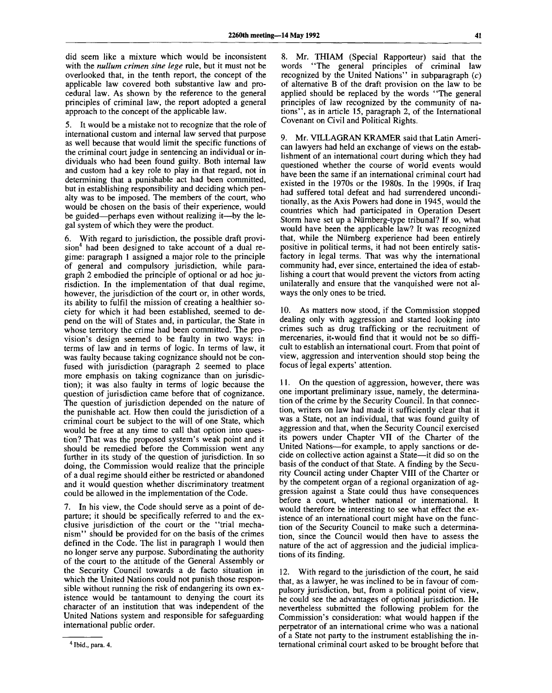did seem like a mixture which would be inconsistent with the *nullum crimen sine lege* rule, but it must not be overlooked that, in the tenth report, the concept of the applicable law covered both substantive law and procedural law. As shown by the reference to the general principles of criminal law, the report adopted a general approach to the concept of the applicable law.

5. It would be a mistake not to recognize that the role of international custom and internal law served that purpose as well because that would limit the specific functions of the criminal court judge in sentencing an individual or individuals who had been found guilty. Both internal law and custom had a key role to play in that regard, not in determining that a punishable act had been committed, but in establishing responsibility and deciding which penalty was to be imposed. The members of the court, who would be chosen on the basis of their experience, would be guided—perhaps even without realizing it—by the legal system of which they were the product.

6. With regard to jurisdiction, the possible draft provision<sup>4</sup> had been designed to take account of a dual regime: paragraph 1 assigned a major role to the principle of general and compulsory jurisdiction, while paragraph 2 embodied the principle of optional or ad hoc jurisdiction. In the implementation of that dual regime, however, the jurisdiction of the court or, in other words, its ability to fulfil the mission of creating a healthier society for which it had been established, seemed to depend on the will of States and, in particular, the State in whose territory the crime had been committed. The provision's design seemed to be faulty in two ways: in terms of law and in terms of logic. In terms of law, it was faulty because taking cognizance should not be confused with jurisdiction (paragraph 2 seemed to place more emphasis on taking cognizance than on jurisdiction); it was also faulty in terms of logic because the question of jurisdiction came before that of cognizance. The question of jurisdiction depended on the nature of the punishable act. How then could the jurisdiction of a criminal court be subject to the will of one State, which would be free at any time to call that option into question? That was the proposed system's weak point and it should be remedied before the Commission went any further in its study of the question of jurisdiction. In so doing, the Commission would realize that the principle of a dual regime should either be restricted or abandoned and it would question whether discriminatory treatment could be allowed in the implementation of the Code.

7. In his view, the Code should serve as a point of departure; it should be specifically referred to and the exclusive jurisdiction of the court or the "trial mechanism" should be provided for on the basis of the crimes defined in the Code. The list in paragraph 1 would then no longer serve any purpose. Subordinating the authority of the court to the attitude of the General Assembly or the Security Council towards a de facto situation in which the United Nations could not punish those responsible without running the risk of endangering its own existence would be tantamount to denying the court its character of an institution that was independent of the United Nations system and responsible for safeguarding international public order.

8. Mr. THIAM (Special Rapporteur) said that the words "The general principles of criminal law recognized by the United Nations" in subparagraph  $(c)$ of alternative B of the draft provision on the law to be applied should be replaced by the words "The general principles of law recognized by the community of nations", as in article 15, paragraph 2, of the International Covenant on Civil and Political Rights.

9. Mr. VILLAGRAN KRAMER said that Latin American lawyers had held an exchange of views on the establishment of an international court during which they had questioned whether the course of world events would have been the same if an international criminal court had existed in the 1970s or the 1980s. In the 1990s, if Iraq had suffered total defeat and had surrendered unconditionally, as the Axis Powers had done in 1945, would the countries which had participated in Operation Desert Storm have set up a Niirnberg-type tribunal? If so, what would have been the applicable law? It was recognized that, while the Niirnberg experience had been entirely positive in political terms, it had not been entirely satisfactory in legal terms. That was why the international community had, ever since, entertained the idea of establishing a court that would prevent the victors from acting unilaterally and ensure that the vanquished were not always the only ones to be tried.

10. As matters now stood, if the Commission stopped dealing only with aggression and started looking into crimes such as drug trafficking or the recruitment of mercenaries, it would find that it would not be so difficult to establish an international court. From that point of view, aggression and intervention should stop being the focus of legal experts' attention.

11. On the question of aggression, however, there was one important preliminary issue, namely, the determination of the crime by the Security Council. In that connection, writers on law had made it sufficiently clear that it was a State, not an individual, that was found guilty of aggression and that, when the Security Council exercised its powers under Chapter VII of the Charter of the United Nations—for example, to apply sanctions or decide on collective action against a State—it did so on the basis of the conduct of that State. A finding by the Security Council acting under Chapter VIII of the Charter or by the competent organ of a regional organization of aggression against a State could thus have consequences before a court, whether national or international. It would therefore be interesting to see what effect the existence of an international court might have on the function of the Security Council to make such a determination, since the Council would then have to assess the nature of the act of aggression and the judicial implications of its finding.

12. With regard to the jurisdiction of the court, he said that, as a lawyer, he was inclined to be in favour of compulsory jurisdiction, but, from a political point of view, he could see the advantages of optional jurisdiction. He nevertheless submitted the following problem for the Commission's consideration: what would happen if the perpetrator of an international crime who was a national of a State not party to the instrument establishing the international criminal court asked to be brought before that

**Ibid., para. 4.**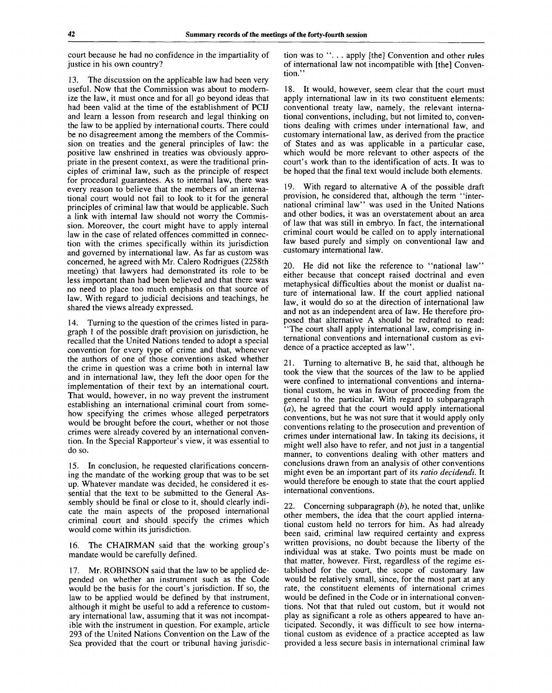court because he had no confidence in the impartiality of justice in his own country?

13. The discussion on the applicable law had been very useful. Now that the Commission was about to modernize the law, it must once and for all go beyond ideas that had been valid at the time of the establishment of PCIJ and learn a lesson from research and legal thinking on the law to be applied by international courts. There could be no disagreement among the members of the Commission on treaties and the general principles of law: the positive law enshrined in treaties was obviously appropriate in the present context, as were the traditional principles of criminal law, such as the principle of respect for procedural guarantees. As to internal law, there was every reason to believe that the members of an international court would not fail to look to it for the general principles of criminal law that would be applicable. Such a link with internal law should not worry the Commission. Moreover, the court might have to apply internal law in the case of related offences committed in connection with the crimes specifically within its jurisdiction and governed by international law. As far as custom was concerned, he agreed with Mr. Calero Rodrigues (2258th meeting) that lawyers had demonstrated its role to be less important than had been believed and that there was no need to place too much emphasis on that source of law. With regard to judicial decisions and teachings, he shared the views already expressed.

14. Turning to the question of the crimes listed in paragraph 1 of the possible draft provision on jurisdiction, he recalled that the United Nations tended to adopt a special convention for every type of crime and that, whenever the authors of one of those conventions asked whether the crime in question was a crime both in internal law and in international law, they left the door open for the implementation of their text by an international court. That would, however, in no way prevent the instrument establishing an international criminal court from somehow specifying the crimes whose alleged perpetrators would be brought before the court, whether or not those crimes were already covered by an international convention. In the Special Rapporteur's view, it was essential to do so.

15. In conclusion, he requested clarifications concerning the mandate of the working group that was to be set up. Whatever mandate was decided, he considered it essential that the text to be submitted to the General Assembly should be final or close to it, should clearly indicate the main aspects of the proposed international criminal court and should specify the crimes which would come within its jurisdiction.

16. The CHAIRMAN said that the working group's mandate would be carefully defined.

17. Mr. ROBINSON said that the law to be applied depended on whether an instrument such as the Code would be the basis for the court's jurisdiction. If so, the law to be applied would be defined by that instrument, although it might be useful to add a reference to customary international law, assuming that it was not incompatible with the instrument in question. For example, article 293 of the United Nations Convention on the Law of the Sea provided that the court or tribunal having jurisdiction was to ".. . apply [the] Convention and other rules of international law not incompatible with [the] Convention."

18. It would, however, seem clear that the court must apply international law in its two constituent elements: conventional treaty law, namely, the relevant international conventions, including, but not limited to, conventions dealing with crimes under international law, and customary international law, as derived from the practice of States and as was applicable in a particular case, which would be more relevant to other aspects of the court's work than to the identification of acts. It was to be hoped that the final text would include both elements.

19. With regard to alternative A of the possible draft provision, he considered that, although the term "international criminal law" was used in the United Nations and other bodies, it was an overstatement about an area of law that was still in embryo. In fact, the international criminal court would be called on to apply international law based purely and simply on conventional law and customary international law.

20. He did not like the reference to "national law" either because that concept raised doctrinal and even metaphysical difficulties about the monist or dualist nature of international law. If the court applied national law, it would do so at the direction of international law and not as an independent area of law. He therefore proposed that alternative A should be redrafted to read: "The court shall apply international law, comprising international conventions and international custom as evidence of a practice accepted as law''.

21. Turning to alternative B, he said that, although he took the view that the sources of the law to be applied were confined to international conventions and international custom, he was in favour of proceeding from the general to the particular. With regard to subparagraph *(a),* he agreed that the court would apply international conventions, but he was not sure that it would apply only conventions relating to the prosecution and prevention of crimes under international law. In taking its decisions, it might well also have to refer, and not just in a tangential manner, to conventions dealing with other matters and conclusions drawn from an analysis of other conventions might even be an important part of its *ratio decidendi.* It would therefore be enough to state that the court applied international conventions.

22. Concerning subparagraph *(b),* he noted that, unlike other members, the idea that the court applied international custom held no terrors for him. As had already been said, criminal law required certainty and express written provisions, no doubt because the liberty of the individual was at stake. Two points must be made on that matter, however. First, regardless of the regime established for the court, the scope of customary law would be relatively small, since, for the most part at any rate, the constituent elements of international crimes would be defined in the Code or in international conventions. Not that that ruled out custom, but it would not play as significant a role as others appeared to have anticipated. Secondly, it was difficult to see how international custom as evidence of a practice accepted as law provided a less secure basis in international criminal law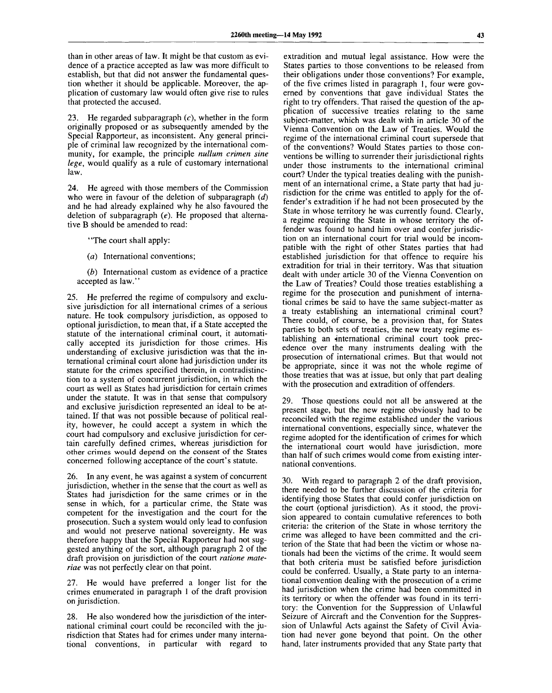than in other areas of law. It might be that custom as evidence of a practice accepted as law was more difficult to establish, but that did not answer the fundamental question whether it should be applicable. Moreover, the application of customary law would often give rise to rules that protected the accused.

23. He regarded subparagraph  $(c)$ , whether in the form originally proposed or as subsequently amended by the Special Rapporteur, as inconsistent. Any general principle of criminal law recognized by the international community, for example, the principle *nullum crimen sine lege,* would qualify as a rule of customary international law.

24. He agreed with those members of the Commission who were in favour of the deletion of subparagraph *(d)* and he had already explained why he also favoured the deletion of subparagraph *(e).* He proposed that alternative B should be amended to read:

"The court shall apply:

*(a)* International conventions;

*(b)* International custom as evidence of a practice accepted as law."

25. He preferred the regime of compulsory and exclusive jurisdiction for all international crimes of a serious nature. He took compulsory jurisdiction, as opposed to optional jurisdiction, to mean that, if a State accepted the statute of the international criminal court, it automatically accepted its jurisdiction for those crimes. His understanding of exclusive jurisdiction was that the international criminal court alone had jurisdiction under its statute for the crimes specified therein, in contradistinction to a system of concurrent jurisdiction, in which the court as well as States had jurisdiction for certain crimes under the statute. It was in that sense that compulsory and exclusive jurisdiction represented an ideal to be attained. If that was not possible because of political reality, however, he could accept a system in which the court had compulsory and exclusive jurisdiction for certain carefully defined crimes, whereas jurisdiction for other crimes would depend on the consent of the States concerned following acceptance of the court's statute.

26. In any event, he was against a system of concurrent jurisdiction, whether in the sense that the court as well as States had jurisdiction for the same crimes or in the sense in which, for a particular crime, the State was competent for the investigation and the court for the prosecution. Such a system would only lead to confusion and would not preserve national sovereignty. He was therefore happy that the Special Rapporteur had not suggested anything of the sort, although paragraph 2 of the draft provision on jurisdiction of the court *ratione materiae* was not perfectly clear on that point.

27. He would have preferred a longer list for the crimes enumerated in paragraph 1 of the draft provision on jurisdiction.

28. He also wondered how the jurisdiction of the international criminal court could be reconciled with the jurisdiction that States had for crimes under many international conventions, in particular with regard to

extradition and mutual legal assistance. How were the States parties to those conventions to be released from their obligations under those conventions? For example, of the five crimes listed in paragraph 1, four were governed by conventions that gave individual States the right to try offenders. That raised the question of the application of successive treaties relating to the same subject-matter, which was dealt with in article 30 of the Vienna Convention on the Law of Treaties. Would the regime of the international criminal court supersede that of the conventions? Would States parties to those conventions be willing to surrender their jurisdictional rights under those instruments to the international criminal court? Under the typical treaties dealing with the punishment of an international crime, a State party that had jurisdiction for the crime was entitled to apply for the offender's extradition if he had not been prosecuted by the State in whose territory he was currently found. Clearly, a regime requiring the State in whose territory the offender was found to hand him over and confer jurisdiction on an international court for trial would be incompatible with the right of other States parties that had established jurisdiction for that offence to require his extradition for trial in their territory. Was that situation dealt with under article 30 of the Vienna Convention on the Law of Treaties? Could those treaties establishing a regime for the prosecution and punishment of international crimes be said to have the same subject-matter as a treaty establishing an international criminal court? There could, of course, be a provision that, for States parties to both sets of treaties, the new treaty regime establishing an -international criminal court took precedence over the many instruments dealing with the prosecution of international crimes. But that would not be appropriate, since it was not the whole regime of those treaties that was at issue, but only that part dealing with the prosecution and extradition of offenders.

29. Those questions could not all be answered at the present stage, but the new regime obviously had to be reconciled with the regime established under the various international conventions, especially since, whatever the regime adopted for the identification of crimes for which the international court would have jurisdiction, more than half of such crimes would come from existing international conventions.

30. With regard to paragraph 2 of the draft provision, there needed to be further discussion of the criteria for identifying those States that could confer jurisdiction on the court (optional jurisdiction). As it stood, the provision appeared to contain cumulative references to both criteria: the criterion of the State in whose territory the crime was alleged to have been committed and the criterion of the State that had been the victim or whose nationals had been the victims of the crime. It would seem that both criteria must be satisfied before jurisdiction could be conferred. Usually, a State party to an international convention dealing with the prosecution of a crime had jurisdiction when the crime had been committed in its territory or when the offender was found in its territory: the Convention for the Suppression of Unlawful Seizure of Aircraft and the Convention for the Suppression of Unlawful Acts against the Safety of Civil Aviation had never gone beyond that point. On the other hand, later instruments provided that any State party that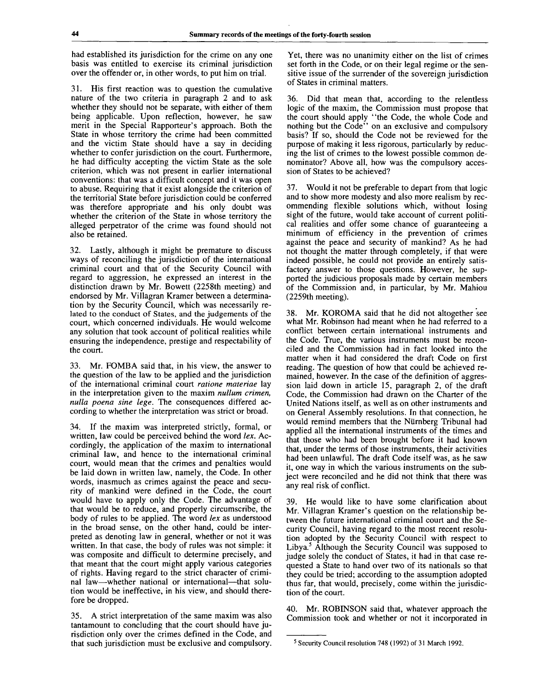had established its jurisdiction for the crime on any one basis was entitled to exercise its criminal jurisdiction over the offender or, in other words, to put him on trial.

31. His first reaction was to question the cumulative nature of the two criteria in paragraph 2 and to ask whether they should not be separate, with either of them being applicable. Upon reflection, however, he saw merit in the Special Rapporteur's approach. Both the State in whose territory the crime had been committed and the victim State should have a say in deciding whether to confer jurisdiction on the court. Furthermore, he had difficulty accepting the victim State as the sole criterion, which was not present in earlier international conventions: that was a difficult concept and it was open to abuse. Requiring that it exist alongside the criterion of the territorial State before jurisdiction could be conferred was therefore appropriate and his only doubt was whether the criterion of the State in whose territory the alleged perpetrator of the crime was found should not also be retained.

32. Lastly, although it might be premature to discuss ways of reconciling the jurisdiction of the international criminal court and that of the Security Council with regard to aggression, he expressed an interest in the distinction drawn by Mr. Bowett (2258th meeting) and endorsed by Mr. Villagran Kramer between a determination by the Security Council, which was necessarily related to the conduct of States, and the judgements of the court, which concerned individuals. He would welcome any solution that took account of political realities while ensuring the independence, prestige and respectability of the court.

33. Mr. FOMBA said that, in his view, the answer to the question of the law to be applied and the jurisdiction of the international criminal court *ratione materiae* lay in the interpretation given to the maxim *nullum crimen, nulla poena sine lege.* The consequences differed according to whether the interpretation was strict or broad.

34. If the maxim was interpreted strictly, formal, or written, law could be perceived behind the word *lex.* Accordingly, the application of the maxim to international criminal law, and hence to the international criminal court, would mean that the crimes and penalties would be laid down in written law, namely, the Code. In other words, inasmuch as crimes against the peace and security of mankind were defined in the Code, the court would have to apply only the Code. The advantage of that would be to reduce, and properly circumscribe, the body of rules to be applied. The word *lex* as understood in the broad sense, on the other hand, could be interpreted as denoting law in general, whether or not it was written. In that case, the body of rules was not simple: it was composite and difficult to determine precisely, and that meant that the court might apply various categories of rights. Having regard to the strict character of criminal law—whether national or international—that solution would be ineffective, in his view, and should therefore be dropped.

35. A strict interpretation of the same maxim was also tantamount to concluding that the court should have jurisdiction only over the crimes defined in the Code, and that such jurisdiction must be exclusive and compulsory.

Yet, there was no unanimity either on the list of crimes set forth in the Code, or on their legal regime or the sensitive issue of the surrender of the sovereign jurisdiction of States in criminal matters.

36. Did that mean that, according to the relentless logic of the maxim, the Commission must propose that the court should apply "the Code, the whole Code and nothing but the Code<sup>7</sup> on an exclusive and compulsory basis? If so, should the Code not be reviewed for the purpose of making it less rigorous, particularly by reducing the list of crimes to the lowest possible common denominator? Above all, how was the compulsory accession of States to be achieved?

37. Would it not be preferable to depart from that logic and to show more modesty and also more realism by recommending flexible solutions which, without losing sight of the future, would take account of current political realities and offer some chance of guaranteeing a minimum of efficiency in the prevention of crimes against the peace and security of mankind? As he had not thought the matter through completely, if that were indeed possible, he could not provide an entirely satisfactory answer to those questions. However, he supported the judicious proposals made by certain members of the Commission and, in particular, by Mr. Mahiou (2259th meeting).

38. Mr. KOROMA said that he did not altogether see what Mr. Robinson had meant when he had referred to a conflict between certain international instruments and the Code. True, the various instruments must be reconciled and the Commission had in fact looked into the matter when it had considered the draft Code on first reading. The question of how that could be achieved remained, however. In the case of the definition of aggression laid down in article 15, paragraph 2, of the draft Code, the Commission had drawn on the Charter of the United Nations itself, as well as on other instruments and on General Assembly resolutions. In that connection, he would remind members that the Niirnberg Tribunal had applied all the international instruments of the times and that those who had been brought before it had known that, under the terms of those instruments, their activities had been unlawful. The draft Code itself was, as he saw it, one way in which the various instruments on the subject were reconciled and he did not think that there was any real risk of conflict.

39. He would like to have some clarification about Mr. Villagran Kramer's question on the relationship between the future international criminal court and the Security Council, having regard to the most recent resolution adopted by the Security Council with respect to Libya.<sup>5</sup> Although the Security Council was supposed to judge solely the conduct of States, it had in that case requested a State to hand over two of its nationals so that they could be tried; according to the assumption adopted thus far, that would, precisely, come within the jurisdiction of the court.

40. Mr. ROBINSON said that, whatever approach the Commission took and whether or not it incorporated in

<sup>&</sup>lt;sup>5</sup> Security Council resolution 748 (1992) of 31 March 1992.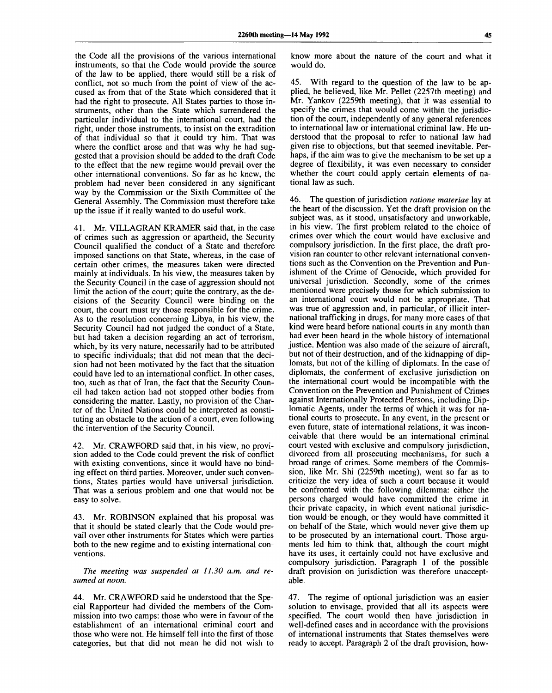the Code all the provisions of the various international instruments, so that the Code would provide the source of the law to be applied, there would still be a risk of conflict, not so much from the point of view of the accused as from that of the State which considered that it had the right to prosecute. All States parties to those instruments, other than the State which surrendered the particular individual to the international court, had the right, under those instruments, to insist on the extradition of that individual so that it could try him. That was where the conflict arose and that was why he had suggested that a provision should be added to the draft Code to the effect that the new regime would prevail over the other international conventions. So far as he knew, the problem had never been considered in any significant way by the Commission or the Sixth Committee of the General Assembly. The Commission must therefore take up the issue if it really wanted to do useful work.

41. Mr. VILLAGRAN KRAMER said that, in the case of crimes such as aggression or apartheid, the Security Council qualified the conduct of a State and therefore imposed sanctions on that State, whereas, in the case of certain other crimes, the measures taken were directed mainly at individuals. In his view, the measures taken by the Security Council in the case of aggression should not limit the action of the court; quite the contrary, as the decisions of the Security Council were binding on the court, the court must try those responsible for the crime. As to the resolution concerning Libya, in his view, the Security Council had not judged the conduct of a State, but had taken a decision regarding an act of terrorism, which, by its very nature, necessarily had to be attributed to specific individuals; that did not mean that the decision had not been motivated by the fact that the situation could have led to an international conflict. In other cases, too, such as that of Iran, the fact that the Security Council had taken action had not stopped other bodies from considering the matter. Lastly, no provision of the Charter of the United Nations could be interpreted as constituting an obstacle to the action of a court, even following the intervention of the Security Council.

42. Mr. CRAWFORD said that, in his view, no provision added to the Code could prevent the risk of conflict with existing conventions, since it would have no binding effect on third parties. Moreover, under such conventions, States parties would have universal jurisdiction. That was a serious problem and one that would not be easy to solve.

43. Mr. ROBINSON explained that his proposal was that it should be stated clearly that the Code would prevail over other instruments for States which were parties both to the new regime and to existing international conventions.

*The meeting was suspended at 11.30 a.m. and resumed at noon.*

44. Mr. CRAWFORD said he understood that the Special Rapporteur had divided the members of the Commission into two camps: those who were in favour of the establishment of an international criminal court and those who were not. He himself fell into the first of those categories, but that did not mean he did not wish to know more about the nature of the court and what it would do.

45. With regard to the question of the law to be applied, he believed, like Mr. Pellet (2257th meeting) and Mr. Yankov (2259th meeting), that it was essential to specify the crimes that would come within the jurisdiction of the court, independently of any general references to international law or international criminal law. He understood that the proposal to refer to national law had given rise to objections, but that seemed inevitable. Perhaps, if the aim was to give the mechanism to be set up a degree of flexibility, it was even necessary to consider whether the court could apply certain elements of national law as such.

46. The question of jurisdiction *ratione materiae* lay at the heart of the discussion. Yet the draft provision on the subject was, as it stood, unsatisfactory and unworkable, in his view. The first problem related to the choice of crimes over which the court would have exclusive and compulsory jurisdiction. In the first place, the draft provision ran counter to other relevant international conventions such as the Convention on the Prevention and Punishment of the Crime of Genocide, which provided for universal jurisdiction. Secondly, some of the crimes mentioned were precisely those for which submission to an international court would not be appropriate. That was true of aggression and, in particular, of illicit international trafficking in drugs, for many more cases of that kind were heard before national courts in any month than had ever been heard in the whole history of international justice. Mention was also made of the seizure of aircraft, but not of their destruction, and of the kidnapping of diplomats, but not of the killing of diplomats. In the case of diplomats, the conferment of exclusive jurisdiction on the international court would be incompatible with the Convention on the Prevention and Punishment of Crimes against Internationally Protected Persons, including Diplomatic Agents, under the terms of which it was for national courts to prosecute. In any event, in the present or even future, state of international relations, it was inconceivable that there would be an international criminal court vested with exclusive and compulsory jurisdiction, divorced from all prosecuting mechanisms, for such a broad range of crimes. Some members of the Commission, like Mr. Shi (2259th meeting), went so far as to criticize the very idea of such a court because it would be confronted with the following dilemma: either the persons charged would have committed the crime in their private capacity, in which event national jurisdiction would be enough, or they would have committed it on behalf of the State, which would never give them up on behan of the state, which would hever give them up w be prosecured by an international court. Those arguments led him to think that, although the court might have its uses, it certainly could not have exclusive and compulsory jurisdiction. Paragraph 1 of the possible draft provision on jurisdiction was therefore unaccept-<br>able.

47. The regime of optional jurisdiction was an easier solution to envisage, provided that all its aspects were specified. The court would then have jurisdiction in well-defined cases and in accordance with the provisions of international instruments that States themselves were ready to accept. Paragraph 2 of the draft provision, how-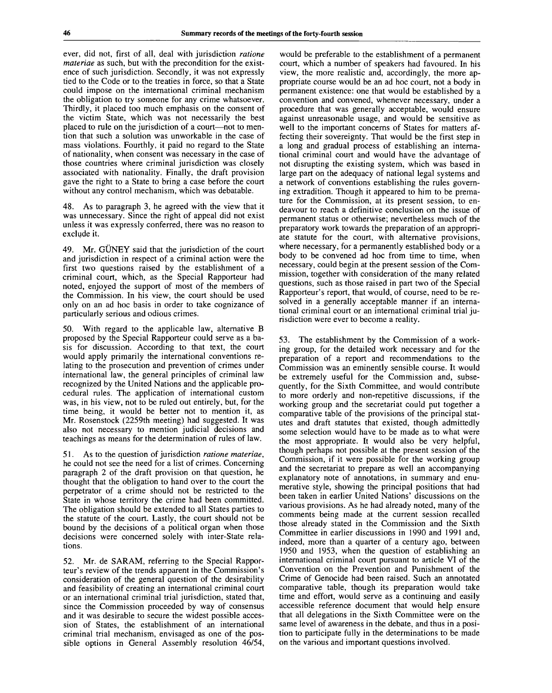ever, did not, first of all, deal with jurisdiction *ratione materiae* as such, but with the precondition for the existence of such jurisdiction. Secondly, it was not expressly tied to the Code or to the treaties in force, so that a State could impose on the international criminal mechanism the obligation to try someone for any crime whatsoever. Thirdly, it placed too much emphasis on the consent of the victim State, which was not necessarily the best placed to rule on the jurisdiction of a court—not to mention that such a solution was unworkable in the case of mass violations. Fourthly, it paid no regard to the State of nationality, when consent was necessary in the case of those countries where criminal jurisdiction was closely associated with nationality. Finally, the draft provision gave the right to a State to bring a case before the court without any control mechanism, which was debatable.

48. As to paragraph 3, he agreed with the view that it was unnecessary. Since the right of appeal did not exist unless it was expressly conferred, there was no reason to exclude it.

49. Mr. GUNEY said that the jurisdiction of the court and jurisdiction in respect of a criminal action were the first two questions raised by the establishment of a criminal court, which, as the Special Rapporteur had noted, enjoyed the support of most of the members of the Commission. In his view, the court should be used only on an ad hoc basis in order to take cognizance of particularly serious and odious crimes.

50. With regard to the applicable law, alternative B proposed by the Special Rapporteur could serve as a basis for discussion. According to that text, the court would apply primarily the international conventions relating to the prosecution and prevention of crimes under international law, the general principles of criminal law recognized by the United Nations and the applicable procedural rules. The application of international custom was, in his view, not to be ruled out entirely, but, for the time being, it would be better not to mention it, as Mr. Rosenstock (2259th meeting) had suggested. It was also not necessary to mention judicial decisions and teachings as means for the determination of rules of law.

51. As to the question of jurisdiction *ratione materiae,* he could not see the need for a list of crimes. Concerning paragraph 2 of the draft provision on that question, he thought that the obligation to hand over to the court the perpetrator of a crime should not be restricted to the State in whose territory the crime had been committed. The obligation should be extended to all States parties to the statute of the court. Lastly, the court should not be bound by the decisions of a political organ when those decisions were concerned solely with inter-State relations.

52. Mr. de SARAM, referring to the Special Rapporteur's review of the trends apparent in the Commission's consideration of the general question of the desirability and feasibility of creating an international criminal court or an international criminal trial jurisdiction, stated that, since the Commission proceeded by way of consensus and it was desirable to secure the widest possible accession of States, the establishment of an international criminal trial mechanism, envisaged as one of the possible options in General Assembly resolution 46/54,

would be preferable to the establishment of a permanent court, which a number of speakers had favoured. In his view, the more realistic and, accordingly, the more appropriate course would be an ad hoc court, not a body in permanent existence: one that would be established by a convention and convened, whenever necessary, under a procedure that was generally acceptable, would ensure against unreasonable usage, and would be sensitive as well to the important concerns of States for matters affecting their sovereignty. That would be the first step in a long and gradual process of establishing an international criminal court and would have the advantage of not disrupting the existing system, which was based in large part on the adequacy of national legal systems and a network of conventions establishing the rules governing extradition. Though it appeared to him to be premature for the Commission, at its present session, to endeavour to reach a definitive conclusion on the issue of permanent status or otherwise; nevertheless much of the preparatory work towards the preparation of an appropriate statute for the court, with alternative provisions, where necessary, for a permanently established body or a body to be convened ad hoc from time to time, when necessary, could begin at the present session of the Commission, together with consideration of the many related questions, such as those raised in part two of the Special Rapporteur's report, that would, of course, need to be resolved in a generally acceptable manner if an international criminal court or an international criminal trial jurisdiction were ever to become a reality.

53. The establishment by the Commission of a working group, for the detailed work necessary and for the preparation of a report and recommendations to the Commission was an eminently sensible course. It would be extremely useful for the Commission and, subsequently, for the Sixth Committee, and would contribute to more orderly and non-repetitive discussions, if the working group and the secretariat could put together a comparative table of the provisions of the principal statutes and draft statutes that existed, though admittedly some selection would have to be made as to what were the most appropriate. It would also be very helpful, though perhaps not possible at the present session of the Commission, if it were possible for the working group and the secretariat to prepare as well an accompanying explanatory note of annotations, in summary and enumerative style, showing the principal positions that had been taken in earlier United Nations' discussions on the various provisions. As he had already noted, many of the comments being made at the current session recalled those already stated in the Commission and the Sixth Committee in earlier discussions in 1990 and 1991 and, indeed, more than a quarter of a century ago, between 1950 and 1953, when the question of establishing an international criminal court pursuant to article VI of the Convention on the Prevention and Punishment of the Crime of Genocide had been raised. Such an annotated comparative table, though its preparation would take time and effort, would serve as a continuing and easily accessible reference document that would help ensure that all delegations in the Sixth Committee were on the same level of awareness in the debate, and thus in a position to participate fully in the determinations to be made on the various and important questions involved.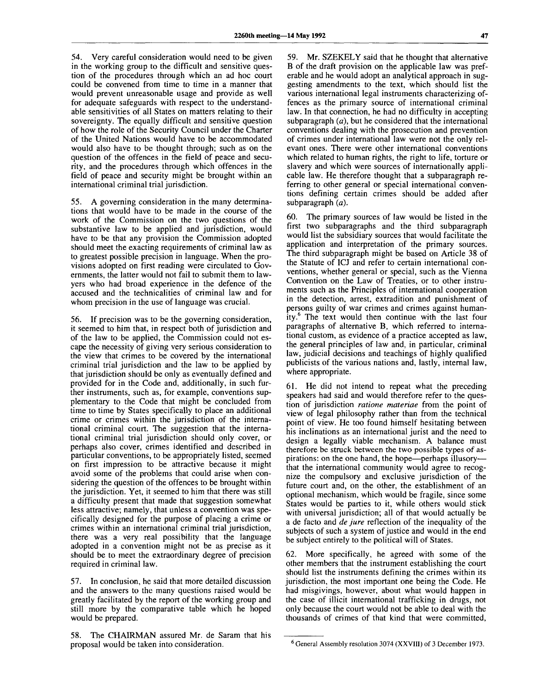54. Very careful consideration would need to be given in the working group to the difficult and sensitive question of the procedures through which an ad hoc court could be convened from time to time in a manner that would prevent unreasonable usage and provide as well for adequate safeguards with respect to the understandable sensitivities of all States on matters relating to their sovereignty. The equally difficult and sensitive question of how the role of the Security Council under the Charter of the United Nations would have to be accommodated would also have to be thought through; such as on the question of the offences in the field of peace and security, and the procedures through which offences in the field of peace and security might be brought within an international criminal trial jurisdiction.

55. A governing consideration in the many determinations that would have to be made in the course of the work of the Commission on the two questions of the substantive law to be applied and jurisdiction, would have to be that any provision the Commission adopted should meet the exacting requirements of criminal law as to greatest possible precision in language. When the provisions adopted on first reading were circulated to Governments, the latter would not fail to submit them to lawyers who had broad experience in the defence of the accused and the technicalities of criminal law and for whom precision in the use of language was crucial.

56. If precision was to be the governing consideration, it seemed to him that, in respect both of jurisdiction and of the law to be applied, the Commission could not escape the necessity of giving very serious consideration to the view that crimes to be covered by the international criminal trial jurisdiction and the law to be applied by that jurisdiction should be only as eventually defined and provided for in the Code and, additionally, in such further instruments, such as, for example, conventions supplementary to the Code that might be concluded from time to time by States specifically to place an additional crime or crimes within the jurisdiction of the international criminal court. The suggestion that the international criminal trial jurisdiction should only cover, or perhaps also cover, crimes identified and described in particular conventions, to be appropriately listed, seemed on first impression to be attractive because it might avoid some of the problems that could arise when considering the question of the offences to be brought within the jurisdiction. Yet, it seemed to him that there was still a difficulty present that made that suggestion somewhat less attractive; namely, that unless a convention was specifically designed for the purpose of placing a crime or crimes within an international criminal trial jurisdiction, there was a very real possibility that the language adopted in a convention might not be as precise as it should be to meet the extraordinary degree of precision required in criminal law.

57. In conclusion, he said that more detailed discussion and the answers to the many questions raised would be greatly facilitated by the report of the working group and still more by the comparative table which he hoped would be prepared.

58. The CHAIRMAN assured Mr. de Saram that his proposal would be taken into consideration.

59. Mr. SZEKELY said that he thought that alternative B of the draft provision on the applicable law was preferable and he would adopt an analytical approach in suggesting amendments to the text, which should list the various international legal instruments characterizing offences as the primary source of international criminal law. In that connection, he had no difficulty in accepting subparagraph *(a),* but he considered that the international conventions dealing with the prosecution and prevention of crimes under international law were not the only relevant ones. There were other international conventions which related to human rights, the right to life, torture or slavery and which were sources of internationally applicable law. He therefore thought that a subparagraph referring to other general or special international conventions defining certain crimes should be added after subparagraph *(a).*

60. The primary sources of law would be listed in the first two subparagraphs and the third subparagraph would list the subsidiary sources that would facilitate the application and interpretation of the primary sources. The third subparagraph might be based on Article 38 of the Statute of ICJ and refer to certain international conventions, whether general or special, such as the Vienna Convention on the Law of Treaties, or to other instruments such as the Principles of international cooperation in the detection, arrest, extradition and punishment of persons guilty of war crimes and crimes against humanity.<sup>6</sup> The text would then continue with the last four paragraphs of alternative B, which referred to international custom, as evidence of a practice accepted as law, the general principles of law and, in particular, criminal law, judicial decisions and teachings of highly qualified publicists of the various nations and, lastly, internal law, where appropriate.

61. He did not intend to repeat what the preceding speakers had said and would therefore refer to the question of jurisdiction *ratione materiae* from the point of view of legal philosophy rather than from the technical point of view. He too found himself hesitating between his inclinations as an international jurist and the need to design a legally viable mechanism. A balance must therefore be struck between the two possible types of aspirations: on the one hand, the hope—perhaps illusory that the international community would agree to recognize the compulsory and exclusive jurisdiction of the future court and, on the other, the establishment of an optional mechanism, which would be fragile, since some States would be parties to it, while others would stick with universal jurisdiction; all of that would actually be a de facto and *de jure* reflection of the inequality of the subjects of such a system of justice and would in the end be subject entirely to the political will of States.

62. More specifically, he agreed with some of the other members that the instrument establishing the court should list the instruments defining the crimes within its jurisdiction, the most important one being the Code. He had misgivings, however, about what would happen in the case of illicit international trafficking in drugs, not only because the court would not be able to deal with the thousands of crimes of that kind that were committed,

<sup>&</sup>lt;sup>6</sup> General Assembly resolution 3074 (XXVIII) of 3 December 1973.